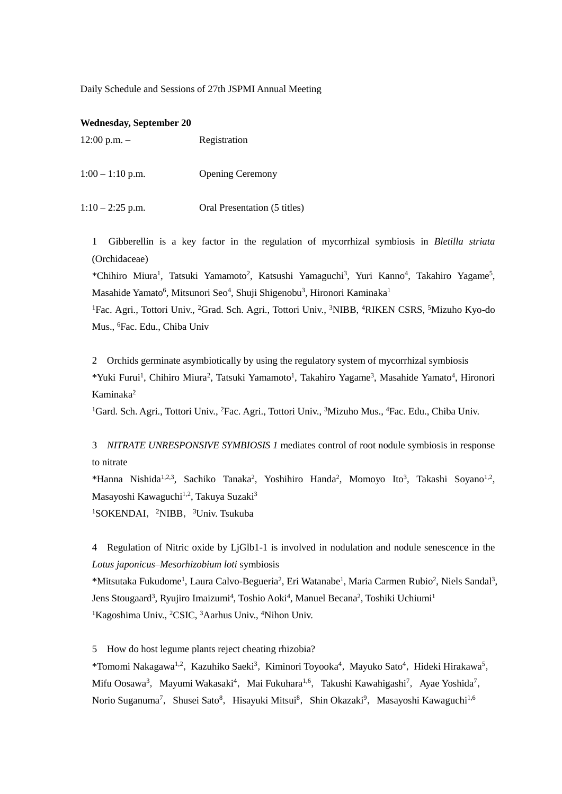Daily Schedule and Sessions of 27th JSPMI Annual Meeting

#### **Wednesday, September 20**

| $12:00$ p.m. $-$ | Registration            |  |
|------------------|-------------------------|--|
|                  |                         |  |
| $1:00-1:10$ p.m. | <b>Opening Ceremony</b> |  |

1:10 – 2:25 p.m. Oral Presentation (5 titles)

1 Gibberellin is a key factor in the regulation of mycorrhizal symbiosis in *Bletilla striata* (Orchidaceae)

\*Chihiro Miura<sup>1</sup>, Tatsuki Yamamoto<sup>2</sup>, Katsushi Yamaguchi<sup>3</sup>, Yuri Kanno<sup>4</sup>, Takahiro Yagame<sup>5</sup>, Masahide Yamato<sup>6</sup>, Mitsunori Seo<sup>4</sup>, Shuji Shigenobu<sup>3</sup>, Hironori Kaminaka<sup>1</sup>

<sup>1</sup>Fac. Agri., Tottori Univ., <sup>2</sup>Grad. Sch. Agri., Tottori Univ., <sup>3</sup>NIBB, <sup>4</sup>RIKEN CSRS, <sup>5</sup>Mizuho Kyo-do Mus., <sup>6</sup>Fac. Edu., Chiba Univ

2 Orchids germinate asymbiotically by using the regulatory system of mycorrhizal symbiosis \*Yuki Furui<sup>1</sup>, Chihiro Miura<sup>2</sup>, Tatsuki Yamamoto<sup>1</sup>, Takahiro Yagame<sup>3</sup>, Masahide Yamato<sup>4</sup>, Hironori Kaminaka<sup>2</sup>

<sup>1</sup>Gard. Sch. Agri., Tottori Univ., <sup>2</sup>Fac. Agri., Tottori Univ., <sup>3</sup>Mizuho Mus., <sup>4</sup>Fac. Edu., Chiba Univ.

3 *NITRATE UNRESPONSIVE SYMBIOSIS 1* mediates control of root nodule symbiosis in response to nitrate

\*Hanna Nishida<sup>1,2,3</sup>, Sachiko Tanaka<sup>2</sup>, Yoshihiro Handa<sup>2</sup>, Momoyo Ito<sup>3</sup>, Takashi Soyano<sup>1,2</sup>, Masayoshi Kawaguchi<sup>1,2</sup>, Takuya Suzaki<sup>3</sup> <sup>1</sup>SOKENDAI, <sup>2</sup>NIBB, <sup>3</sup>Univ. Tsukuba

4 Regulation of Nitric oxide by LjGlb1-1 is involved in nodulation and nodule senescence in the *Lotus japonicus*–*Mesorhizobium loti* symbiosis

\*Mitsutaka Fukudome<sup>1</sup>, Laura Calvo-Begueria<sup>2</sup>, Eri Watanabe<sup>1</sup>, Maria Carmen Rubio<sup>2</sup>, Niels Sandal<sup>3</sup>, Jens Stougaard<sup>3</sup>, Ryujiro Imaizumi<sup>4</sup>, Toshio Aoki<sup>4</sup>, Manuel Becana<sup>2</sup>, Toshiki Uchiumi<sup>1</sup> <sup>1</sup>Kagoshima Univ., <sup>2</sup>CSIC, <sup>3</sup>Aarhus Univ., <sup>4</sup>Nihon Univ.

5 How do host legume plants reject cheating rhizobia?

\*Tomomi Nakagawa1,2,Kazuhiko Saeki<sup>3</sup>,Kiminori Toyooka<sup>4</sup>,Mayuko Sato<sup>4</sup>,Hideki Hirakawa<sup>5</sup>, Mifu Oosawa<sup>3</sup>, Mayumi Wakasaki<sup>4</sup>, Mai Fukuhara<sup>1,6</sup>, Takushi Kawahigashi<sup>7</sup>, Ayae Yoshida<sup>7</sup>, Norio Suganuma<sup>7</sup>, Shusei Sato<sup>8</sup>, Hisayuki Mitsui<sup>8</sup>, Shin Okazaki<sup>9</sup>, Masayoshi Kawaguchi<sup>1,6</sup>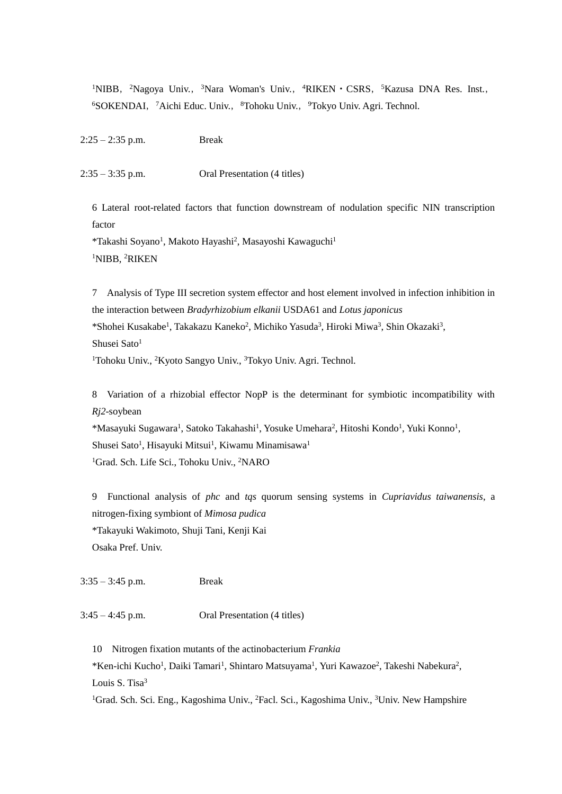<sup>1</sup>NIBB, <sup>2</sup>Nagoya Univ., <sup>3</sup>Nara Woman's Univ., <sup>4</sup>RIKEN · CSRS, <sup>5</sup>Kazusa DNA Res. Inst., <sup>6</sup>SOKENDAI, <sup>7</sup>Aichi Educ. Univ., <sup>8</sup>Tohoku Univ., <sup>9</sup>Tokyo Univ. Agri. Technol.

2:25 – 2:35 p.m. Break

 $2:35 - 3:35$  p.m. Oral Presentation (4 titles)

6 Lateral root-related factors that function downstream of nodulation specific NIN transcription factor

\*Takashi Soyano<sup>1</sup>, Makoto Hayashi<sup>2</sup>, Masayoshi Kawaguchi<sup>1</sup> <sup>1</sup>NIBB, <sup>2</sup>RIKEN

7 Analysis of Type III secretion system effector and host element involved in infection inhibition in the interaction between *Bradyrhizobium elkanii* USDA61 and *Lotus japonicus* \*Shohei Kusakabe<sup>1</sup>, Takakazu Kaneko<sup>2</sup>, Michiko Yasuda<sup>3</sup>, Hiroki Miwa<sup>3</sup>, Shin Okazaki<sup>3</sup>, Shusei Sato<sup>1</sup>

<sup>1</sup>Tohoku Univ., <sup>2</sup>Kyoto Sangyo Univ., <sup>3</sup>Tokyo Univ. Agri. Technol.

8 Variation of a rhizobial effector NopP is the determinant for symbiotic incompatibility with *Rj2*-soybean \*Masayuki Sugawara<sup>1</sup>, Satoko Takahashi<sup>1</sup>, Yosuke Umehara<sup>2</sup>, Hitoshi Kondo<sup>1</sup>, Yuki Konno<sup>1</sup>, Shusei Sato<sup>1</sup>, Hisayuki Mitsui<sup>1</sup>, Kiwamu Minamisawa<sup>1</sup>

<sup>1</sup>Grad. Sch. Life Sci., Tohoku Univ., <sup>2</sup>NARO

9 Functional analysis of *phc* and *tqs* quorum sensing systems in *Cupriavidus taiwanensis*, a nitrogen-fixing symbiont of *Mimosa pudica* \*Takayuki Wakimoto, Shuji Tani, Kenji Kai Osaka Pref. Univ.

3:35 – 3:45 p.m. Break

 $3:45 - 4:45$  p.m. Oral Presentation (4 titles)

10 Nitrogen fixation mutants of the actinobacterium *Frankia*

\*Ken-ichi Kucho<sup>1</sup>, Daiki Tamari<sup>1</sup>, Shintaro Matsuyama<sup>1</sup>, Yuri Kawazoe<sup>2</sup>, Takeshi Nabekura<sup>2</sup>, Louis S. Tisa<sup>3</sup>

<sup>1</sup>Grad. Sch. Sci. Eng., Kagoshima Univ., <sup>2</sup>Facl. Sci., Kagoshima Univ., <sup>3</sup>Univ. New Hampshire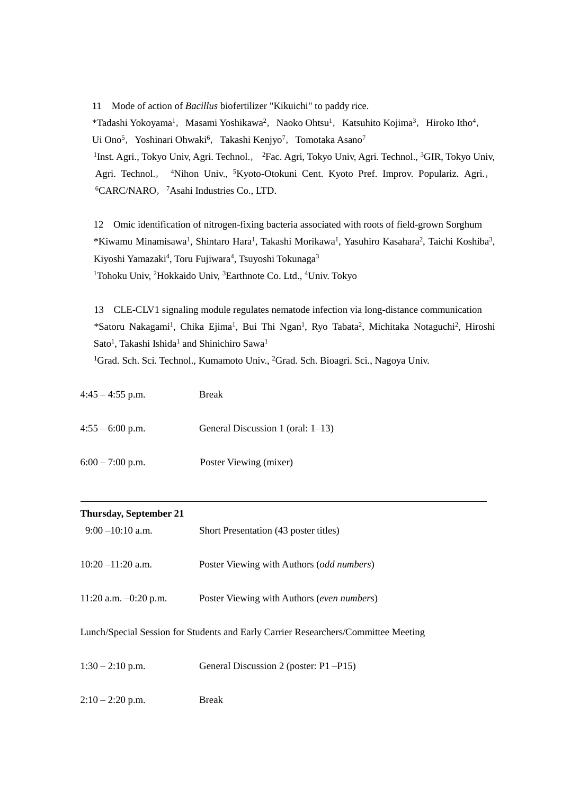11 Mode of action of *Bacillus* biofertilizer "Kikuichi" to paddy rice. \*Tadashi Yokoyama<sup>1</sup>, Masami Yoshikawa<sup>2</sup>, Naoko Ohtsu<sup>1</sup>, Katsuhito Kojima<sup>3</sup>, Hiroko Itho<sup>4</sup>, Ui Ono<sup>5</sup>, Yoshinari Ohwaki<sup>6</sup>, Takashi Kenjyo<sup>7</sup>, Tomotaka Asano<sup>7</sup> <sup>1</sup>Inst. Agri., Tokyo Univ, Agri. Technol., <sup>2</sup>Fac. Agri, Tokyo Univ, Agri. Technol., <sup>3</sup>GIR, Tokyo Univ, Agri. Technol., <sup>4</sup>Nihon Univ., <sup>5</sup>Kyoto-Otokuni Cent. Kyoto Pref. Improv. Populariz. Agri., <sup>6</sup>CARC/NARO, <sup>7</sup>Asahi Industries Co., LTD.

12 Omic identification of nitrogen-fixing bacteria associated with roots of field-grown Sorghum \*Kiwamu Minamisawa<sup>1</sup>, Shintaro Hara<sup>1</sup>, Takashi Morikawa<sup>1</sup>, Yasuhiro Kasahara<sup>2</sup>, Taichi Koshiba<sup>3</sup>, Kiyoshi Yamazaki<sup>4</sup>, Toru Fujiwara<sup>4</sup>, Tsuyoshi Tokunaga<sup>3</sup> <sup>1</sup>Tohoku Univ, <sup>2</sup>Hokkaido Univ, <sup>3</sup>Earthnote Co. Ltd., <sup>4</sup>Univ. Tokyo

13 CLE-CLV1 signaling module regulates nematode infection via long-distance communication \*Satoru Nakagami<sup>1</sup>, Chika Ejima<sup>1</sup>, Bui Thi Ngan<sup>1</sup>, Ryo Tabata<sup>2</sup>, Michitaka Notaguchi<sup>2</sup>, Hiroshi Sato<sup>1</sup>, Takashi Ishida<sup>1</sup> and Shinichiro Sawa<sup>1</sup>

<sup>1</sup>Grad. Sch. Sci. Technol., Kumamoto Univ., <sup>2</sup>Grad. Sch. Bioagri. Sci., Nagoya Univ.

| $4:45 - 4:55$ p.m. | Break                             |
|--------------------|-----------------------------------|
| $4:55 - 6:00$ p.m. | General Discussion 1 (oral: 1–13) |
| $6:00 - 7:00$ p.m. | Poster Viewing (mixer)            |

| <b>Thursday, September 21</b>                                                      |                                            |
|------------------------------------------------------------------------------------|--------------------------------------------|
| $9:00 - 10:10$ a.m.                                                                | Short Presentation (43 poster titles)      |
| $10:20 - 11:20$ a.m.                                                               | Poster Viewing with Authors (odd numbers)  |
| 11:20 a.m. $-0.20$ p.m.                                                            | Poster Viewing with Authors (even numbers) |
| Lunch/Special Session for Students and Early Carrier Researchers/Committee Meeting |                                            |

| $1:30 - 2:10$ p.m. | General Discussion 2 (poster: P1-P15) |
|--------------------|---------------------------------------|
| $2:10-2:20$ p.m.   | Break                                 |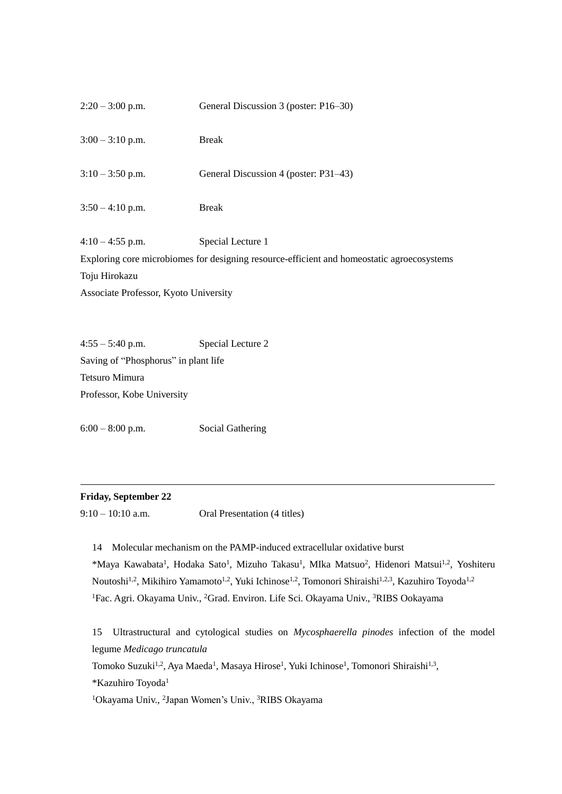| $2:20 - 3:00$ p.m.                                                                         | General Discussion 3 (poster: P16-30) |  |
|--------------------------------------------------------------------------------------------|---------------------------------------|--|
| $3:00 - 3:10$ p.m.                                                                         | <b>Break</b>                          |  |
| $3:10-3:50$ p.m.                                                                           | General Discussion 4 (poster: P31–43) |  |
| $3:50 - 4:10$ p.m.                                                                         | <b>Break</b>                          |  |
| $4:10 - 4:55$ p.m.                                                                         | Special Lecture 1                     |  |
| Exploring core microbiomes for designing resource-efficient and homeostatic agroecosystems |                                       |  |
| Toju Hirokazu                                                                              |                                       |  |
| Associate Professor, Kyoto University                                                      |                                       |  |

4:55 – 5:40 p.m. Special Lecture 2 Saving of "Phosphorus" in plant life Tetsuro Mimura Professor, Kobe University

6:00 – 8:00 p.m. Social Gathering

# **Friday, September 22**

9:10 – 10:10 a.m. Oral Presentation (4 titles)

14 Molecular mechanism on the PAMP-induced extracellular oxidative burst \*Maya Kawabata<sup>1</sup>, Hodaka Sato<sup>1</sup>, Mizuho Takasu<sup>1</sup>, MIka Matsuo<sup>2</sup>, Hidenori Matsui<sup>1,2</sup>, Yoshiteru Noutoshi<sup>1,2</sup>, Mikihiro Yamamoto<sup>1,2</sup>, Yuki Ichinose<sup>1,2</sup>, Tomonori Shiraishi<sup>1,2,3</sup>, Kazuhiro Toyoda<sup>1,2</sup> <sup>1</sup>Fac. Agri. Okayama Univ., <sup>2</sup>Grad. Environ. Life Sci. Okayama Univ., <sup>3</sup>RIBS Ookayama

15 Ultrastructural and cytological studies on *Mycosphaerella pinodes* infection of the model legume *Medicago truncatula*

Tomoko Suzuki<sup>1,2</sup>, Aya Maeda<sup>1</sup>, Masaya Hirose<sup>1</sup>, Yuki Ichinose<sup>1</sup>, Tomonori Shiraishi<sup>1,3</sup>, \*Kazuhiro Toyoda<sup>1</sup>

<sup>1</sup>Okayama Univ., <sup>2</sup>Japan Women's Univ., <sup>3</sup>RIBS Okayama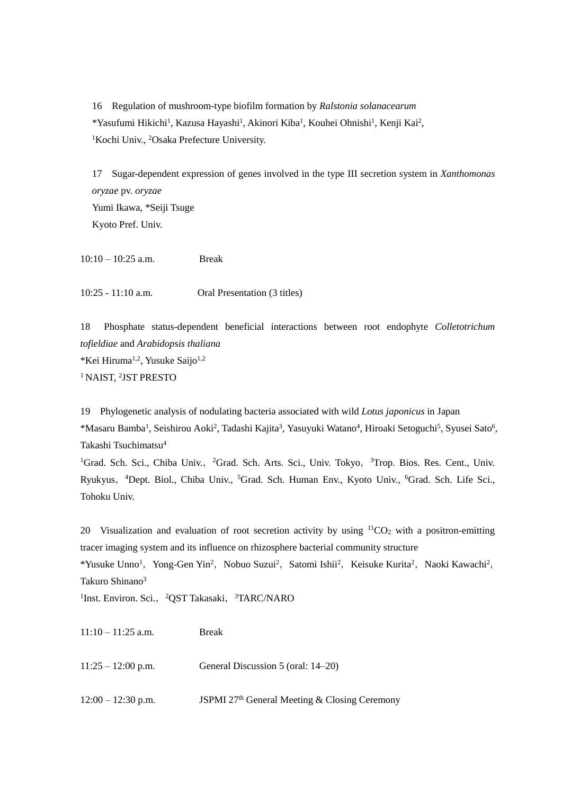16 Regulation of mushroom-type biofilm formation by *Ralstonia solanacearum* \*Yasufumi Hikichi<sup>1</sup>, Kazusa Hayashi<sup>1</sup>, Akinori Kiba<sup>1</sup>, Kouhei Ohnishi<sup>1</sup>, Kenji Kai<sup>2</sup>, <sup>1</sup>Kochi Univ., <sup>2</sup>Osaka Prefecture University.

17 Sugar-dependent expression of genes involved in the type III secretion system in *Xanthomonas oryzae* pv. *oryzae* Yumi Ikawa, \*Seiji Tsuge Kyoto Pref. Univ.

10:10 – 10:25 a.m. Break

10:25 - 11:10 a.m. Oral Presentation (3 titles)

18 Phosphate status-dependent beneficial interactions between root endophyte *Colletotrichum tofieldiae* and *Arabidopsis thaliana \*Kei Hiruma<sup>1,2</sup>*, Yusuke Saijo<sup>1,2</sup> <sup>1</sup> NAIST, <sup>2</sup>JST PRESTO

19 Phylogenetic analysis of nodulating bacteria associated with wild *Lotus japonicus* in Japan \*Masaru Bamba<sup>1</sup>, Seishirou Aoki<sup>2</sup>, Tadashi Kajita<sup>3</sup>, Yasuyuki Watano<sup>4</sup>, Hiroaki Setoguchi<sup>5</sup>, Syusei Sato<sup>6</sup>, Takashi Tsuchimatsu<sup>4</sup>

<sup>1</sup>Grad. Sch. Sci., Chiba Univ., <sup>2</sup>Grad. Sch. Arts. Sci., Univ. Tokyo, <sup>3</sup>Trop. Bios. Res. Cent., Univ. Ryukyus, <sup>4</sup>Dept. Biol., Chiba Univ., <sup>5</sup>Grad. Sch. Human Env., Kyoto Univ., <sup>6</sup>Grad. Sch. Life Sci., Tohoku Univ.

20 Visualization and evaluation of root secretion activity by using  ${}^{11}CO_2$  with a positron-emitting tracer imaging system and its influence on rhizosphere bacterial community structure \*Yusuke Unno<sup>1</sup>, Yong-Gen Yin<sup>2</sup>, Nobuo Suzui<sup>2</sup>, Satomi Ishii<sup>2</sup>, Keisuke Kurita<sup>2</sup>, Naoki Kawachi<sup>2</sup>, Takuro Shinano<sup>3</sup>

<sup>1</sup>Inst. Environ. Sci., <sup>2</sup>QST Takasaki, <sup>3</sup>TARC/NARO

| $11:10 - 11:25$ a.m. | <b>Break</b>                                  |
|----------------------|-----------------------------------------------|
| $11:25 - 12:00$ p.m. | General Discussion 5 (oral: 14–20)            |
| $12:00 - 12:30$ p.m. | JSPMI 27th General Meeting & Closing Ceremony |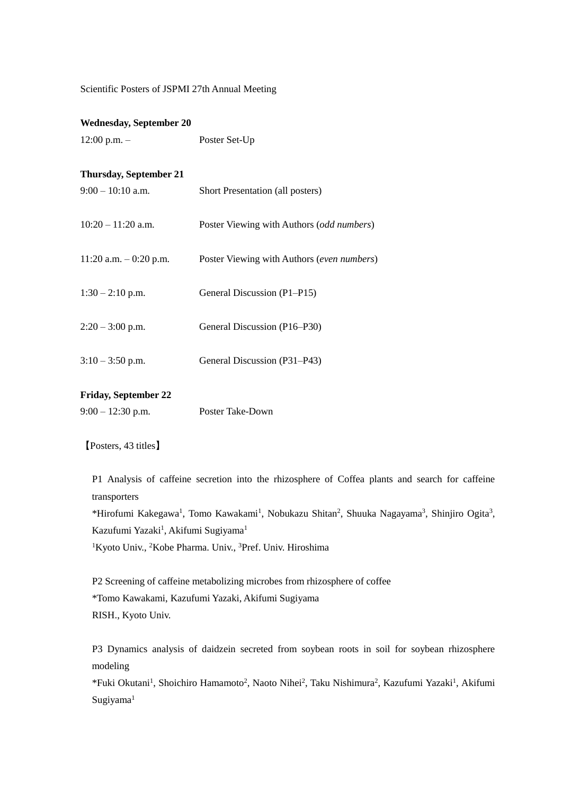Scientific Posters of JSPMI 27th Annual Meeting

# **Wednesday, September 20**

12:00 p.m. – Poster Set-Up

# **Thursday, September 21**

| $9:00-10:10$ a.m.        | Short Presentation (all posters)                   |
|--------------------------|----------------------------------------------------|
| $10:20 - 11:20$ a.m.     | Poster Viewing with Authors ( <i>odd numbers</i> ) |
| 11:20 a.m. $-$ 0:20 p.m. | Poster Viewing with Authors (even numbers)         |
| $1:30 - 2:10$ p.m.       | General Discussion (P1–P15)                        |
| $2:20 - 3:00$ p.m.       | General Discussion (P16–P30)                       |
| $3:10-3:50$ p.m.         | General Discussion (P31–P43)                       |

### **Friday, September 22**

9:00 – 12:30 p.m. Poster Take-Down

【Posters, 43 titles】

P1 Analysis of caffeine secretion into the rhizosphere of Coffea plants and search for caffeine transporters

\*Hirofumi Kakegawa<sup>1</sup>, Tomo Kawakami<sup>1</sup>, Nobukazu Shitan<sup>2</sup>, Shuuka Nagayama<sup>3</sup>, Shinjiro Ogita<sup>3</sup>, Kazufumi Yazaki<sup>1</sup>, Akifumi Sugiyama<sup>1</sup>

<sup>1</sup>Kyoto Univ., <sup>2</sup>Kobe Pharma. Univ., <sup>3</sup>Pref. Univ. Hiroshima

P2 Screening of caffeine metabolizing microbes from rhizosphere of coffee \*Tomo Kawakami, Kazufumi Yazaki, Akifumi Sugiyama RISH., Kyoto Univ.

P3 Dynamics analysis of daidzein secreted from soybean roots in soil for soybean rhizosphere modeling

\*Fuki Okutani<sup>1</sup>, Shoichiro Hamamoto<sup>2</sup>, Naoto Nihei<sup>2</sup>, Taku Nishimura<sup>2</sup>, Kazufumi Yazaki<sup>1</sup>, Akifumi Sugiyama<sup>1</sup>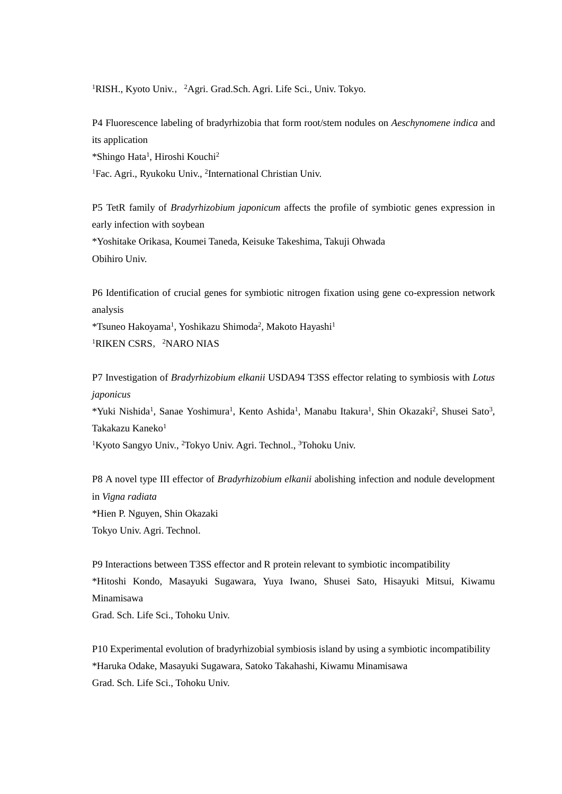<sup>1</sup>RISH., Kyoto Univ., <sup>2</sup>Agri. Grad.Sch. Agri. Life Sci., Univ. Tokyo.

P4 Fluorescence labeling of bradyrhizobia that form root/stem nodules on *Aeschynomene indica* and its application \*Shingo Hata<sup>1</sup> , Hiroshi Kouchi<sup>2</sup> <sup>1</sup>Fac. Agri., Ryukoku Univ., <sup>2</sup>International Christian Univ.

P5 TetR family of *Bradyrhizobium japonicum* affects the profile of symbiotic genes expression in early infection with soybean \*Yoshitake Orikasa, Koumei Taneda, Keisuke Takeshima, Takuji Ohwada Obihiro Univ.

P6 Identification of crucial genes for symbiotic nitrogen fixation using gene co-expression network analysis

\*Tsuneo Hakoyama<sup>1</sup>, Yoshikazu Shimoda<sup>2</sup>, Makoto Hayashi<sup>1</sup> <sup>1</sup>RIKEN CSRS, <sup>2</sup>NARO NIAS

P7 Investigation of *Bradyrhizobium elkanii* USDA94 T3SS effector relating to symbiosis with *Lotus japonicus* \*Yuki Nishida<sup>1</sup>, Sanae Yoshimura<sup>1</sup>, Kento Ashida<sup>1</sup>, Manabu Itakura<sup>1</sup>, Shin Okazaki<sup>2</sup>, Shusei Sato<sup>3</sup>, Takakazu Kaneko<sup>1</sup> <sup>1</sup>Kyoto Sangyo Univ., <sup>2</sup>Tokyo Univ. Agri. Technol., <sup>3</sup>Tohoku Univ.

P8 A novel type III effector of *Bradyrhizobium elkanii* abolishing infection and nodule development in *Vigna radiata* \*Hien P. Nguyen, Shin Okazaki Tokyo Univ. Agri. Technol.

P9 Interactions between T3SS effector and R protein relevant to symbiotic incompatibility \*Hitoshi Kondo, Masayuki Sugawara, Yuya Iwano, Shusei Sato, Hisayuki Mitsui, Kiwamu Minamisawa

Grad. Sch. Life Sci., Tohoku Univ.

P10 Experimental evolution of bradyrhizobial symbiosis island by using a symbiotic incompatibility \*Haruka Odake, Masayuki Sugawara, Satoko Takahashi, Kiwamu Minamisawa Grad. Sch. Life Sci., Tohoku Univ.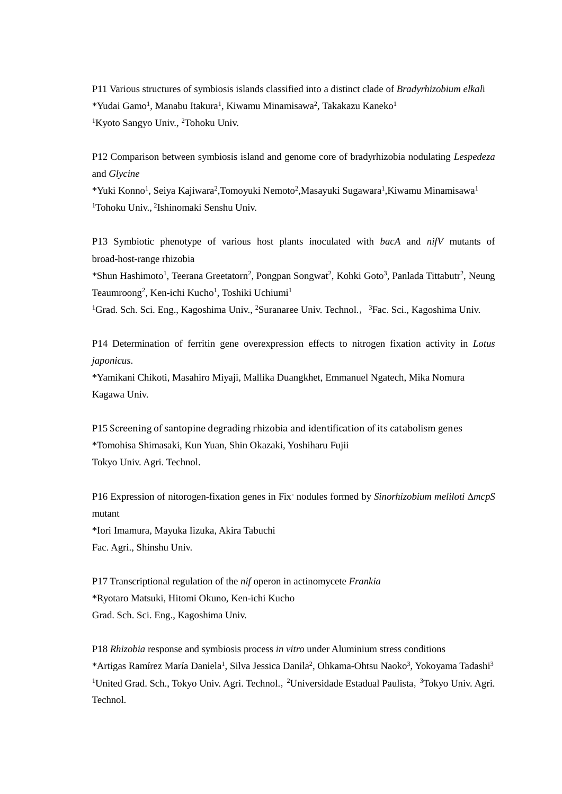P11 Various structures of symbiosis islands classified into a distinct clade of *Bradyrhizobium elkal*i \*Yudai Gamo<sup>1</sup>, Manabu Itakura<sup>1</sup>, Kiwamu Minamisawa<sup>2</sup>, Takakazu Kaneko<sup>1</sup> <sup>1</sup>Kyoto Sangyo Univ., <sup>2</sup>Tohoku Univ.

P12 Comparison between symbiosis island and genome core of bradyrhizobia nodulating *Lespedeza* and *Glycine*

\*Yuki Konno<sup>1</sup>, Seiya Kajiwara<sup>2</sup>,Tomoyuki Nemoto<sup>2</sup>,Masayuki Sugawara<sup>1</sup>,Kiwamu Minamisawa<sup>1</sup> <sup>1</sup>Tohoku Univ., <sup>2</sup> Ishinomaki Senshu Univ.

P13 Symbiotic phenotype of various host plants inoculated with *bacA* and *nifV* mutants of broad-host-range rhizobia

\*Shun Hashimoto<sup>1</sup>, Teerana Greetatorn<sup>2</sup>, Pongpan Songwat<sup>2</sup>, Kohki Goto<sup>3</sup>, Panlada Tittabutr<sup>2</sup>, Neung Teaumroong<sup>2</sup>, Ken-ichi Kucho<sup>1</sup>, Toshiki Uchiumi<sup>1</sup>

<sup>1</sup>Grad. Sch. Sci. Eng., Kagoshima Univ., <sup>2</sup>Suranaree Univ. Technol., <sup>3</sup>Fac. Sci., Kagoshima Univ.

P14 Determination of ferritin gene overexpression effects to nitrogen fixation activity in *Lotus japonicus*.

\*Yamikani Chikoti, Masahiro Miyaji, Mallika Duangkhet, Emmanuel Ngatech, Mika Nomura Kagawa Univ.

P15 Screening of santopine degrading rhizobia and identification of its catabolism genes \*Tomohisa Shimasaki, Kun Yuan, Shin Okazaki, Yoshiharu Fujii Tokyo Univ. Agri. Technol.

P16 Expression of nitorogen-fixation genes in Fix- nodules formed by *Sinorhizobium meliloti mcpS* mutant \*Iori Imamura, Mayuka Iizuka, Akira Tabuchi Fac. Agri., Shinshu Univ.

P17 Transcriptional regulation of the *nif* operon in actinomycete *Frankia* \*Ryotaro Matsuki, Hitomi Okuno, Ken-ichi Kucho Grad. Sch. Sci. Eng., Kagoshima Univ.

P18 *Rhizobia* response and symbiosis process *in vitro* under Aluminium stress conditions \*Artigas Ramírez María Daniela<sup>1</sup>, Silva Jessica Danila<sup>2</sup>, Ohkama-Ohtsu Naoko<sup>3</sup>, Yokoyama Tadashi<sup>3</sup> <sup>1</sup>United Grad. Sch., Tokyo Univ. Agri. Technol., <sup>2</sup>Universidade Estadual Paulista, <sup>3</sup>Tokyo Univ. Agri. **Technol**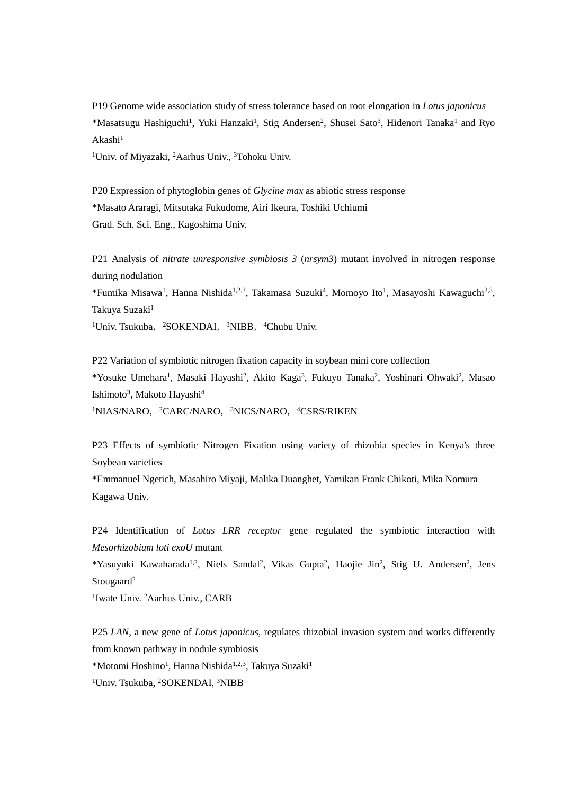P19 Genome wide association study of stress tolerance based on root elongation in *Lotus japonicus* \*Masatsugu Hashiguchi<sup>1</sup>, Yuki Hanzaki<sup>1</sup>, Stig Andersen<sup>2</sup>, Shusei Sato<sup>3</sup>, Hidenori Tanaka<sup>1</sup> and Ryo  $Akashi<sup>1</sup>$ 

<sup>1</sup>Univ. of Miyazaki, <sup>2</sup>Aarhus Univ., <sup>3</sup>Tohoku Univ.

P20 Expression of phytoglobin genes of *Glycine max* as abiotic stress response \*Masato Araragi, Mitsutaka Fukudome, Airi Ikeura, Toshiki Uchiumi Grad. Sch. Sci. Eng., Kagoshima Univ.

P21 Analysis of *nitrate unresponsive symbiosis 3* (*nrsym3*) mutant involved in nitrogen response during nodulation

\*Fumika Misawa<sup>1</sup>, Hanna Nishida<sup>1,2,3</sup>, Takamasa Suzuki<sup>4</sup>, Momoyo Ito<sup>1</sup>, Masayoshi Kawaguchi<sup>2,3</sup>, Takuya Suzaki<sup>1</sup>

 $1$ Univ. Tsukuba,  $2$ SOKENDAI,  $3$ NIBB,  $4$ Chubu Univ.

P22 Variation of symbiotic nitrogen fixation capacity in soybean mini core collection \*Yosuke Umehara<sup>1</sup>, Masaki Hayashi<sup>2</sup>, Akito Kaga<sup>3</sup>, Fukuyo Tanaka<sup>2</sup>, Yoshinari Ohwaki<sup>2</sup>, Masao Ishimoto<sup>3</sup>, Makoto Hayashi<sup>4</sup> <sup>1</sup>NIAS/NARO, <sup>2</sup>CARC/NARO, <sup>3</sup>NICS/NARO, <sup>4</sup>CSRS/RIKEN

P23 Effects of symbiotic Nitrogen Fixation using variety of rhizobia species in Kenya's three Soybean varieties

\*Emmanuel Ngetich, Masahiro Miyaji, Malika Duanghet, Yamikan Frank Chikoti, Mika Nomura Kagawa Univ.

P24 Identification of *Lotus LRR receptor* gene regulated the symbiotic interaction with *Mesorhizobium loti exoU* mutant

\*Yasuyuki Kawaharada<sup>1,2</sup>, Niels Sandal<sup>2</sup>, Vikas Gupta<sup>2</sup>, Haojie Jin<sup>2</sup>, Stig U. Andersen<sup>2</sup>, Jens Stougaard $2$ 

<sup>1</sup>Iwate Univ. <sup>2</sup>Aarhus Univ., CARB

P25 *LAN*, a new gene of *Lotus japonicus*, regulates rhizobial invasion system and works differently from known pathway in nodule symbiosis \*Motomi Hoshino<sup>1</sup>, Hanna Nishida<sup>1,2,3</sup>, Takuya Suzaki<sup>1</sup> <sup>1</sup>Univ. Tsukuba, <sup>2</sup>SOKENDAI, <sup>3</sup>NIBB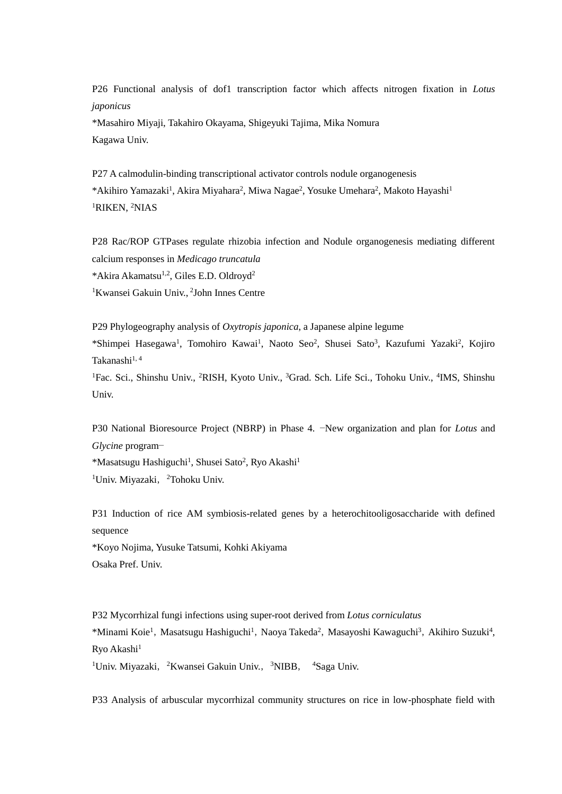P26 Functional analysis of dof1 transcription factor which affects nitrogen fixation in *Lotus japonicus*

\*Masahiro Miyaji, Takahiro Okayama, Shigeyuki Tajima, Mika Nomura Kagawa Univ.

P27 A calmodulin-binding transcriptional activator controls nodule organogenesis \*Akihiro Yamazaki<sup>1</sup>, Akira Miyahara<sup>2</sup>, Miwa Nagae<sup>2</sup>, Yosuke Umehara<sup>2</sup>, Makoto Hayashi<sup>1</sup> <sup>1</sup>RIKEN, <sup>2</sup>NIAS

P28 Rac/ROP GTPases regulate rhizobia infection and Nodule organogenesis mediating different calcium responses in *Medicago truncatula* \*Akira Akamatsu1,2, Giles E.D. Oldroyd<sup>2</sup> <sup>1</sup>Kwansei Gakuin Univ., <sup>2</sup>John Innes Centre

P29 Phylogeography analysis of *Oxytropis japonica*, a Japanese alpine legume \*Shimpei Hasegawa<sup>1</sup>, Tomohiro Kawai<sup>1</sup>, Naoto Seo<sup>2</sup>, Shusei Sato<sup>3</sup>, Kazufumi Yazaki<sup>2</sup>, Kojiro Takanashi1, 4

<sup>1</sup>Fac. Sci., Shinshu Univ., <sup>2</sup>RISH, Kyoto Univ., <sup>3</sup>Grad. Sch. Life Sci., Tohoku Univ., <sup>4</sup>IMS, Shinshu Univ.

P30 National Bioresource Project (NBRP) in Phase 4. −New organization and plan for *Lotus* and *Glycine* program−

\*Masatsugu Hashiguchi<sup>1</sup>, Shusei Sato<sup>2</sup>, Ryo Akashi<sup>1</sup> <sup>1</sup>Univ. Miyazaki, <sup>2</sup>Tohoku Univ.

P31 Induction of rice AM symbiosis-related genes by a heterochitooligosaccharide with defined sequence

\*Koyo Nojima, Yusuke Tatsumi, Kohki Akiyama Osaka Pref. Univ.

P32 Mycorrhizal fungi infections using super-root derived from *Lotus corniculatus*

\*Minami Koie<sup>1</sup>, Masatsugu Hashiguchi<sup>1</sup>, Naoya Takeda<sup>2</sup>, Masayoshi Kawaguchi<sup>3</sup>, Akihiro Suzuki<sup>4</sup>, Ryo Akashi<sup>1</sup>

<sup>1</sup>Univ. Miyazaki, <sup>2</sup>Kwansei Gakuin Univ., <sup>3</sup>NIBB, <sup>4</sup>Saga Univ.

P33 Analysis of arbuscular mycorrhizal community structures on rice in low-phosphate field with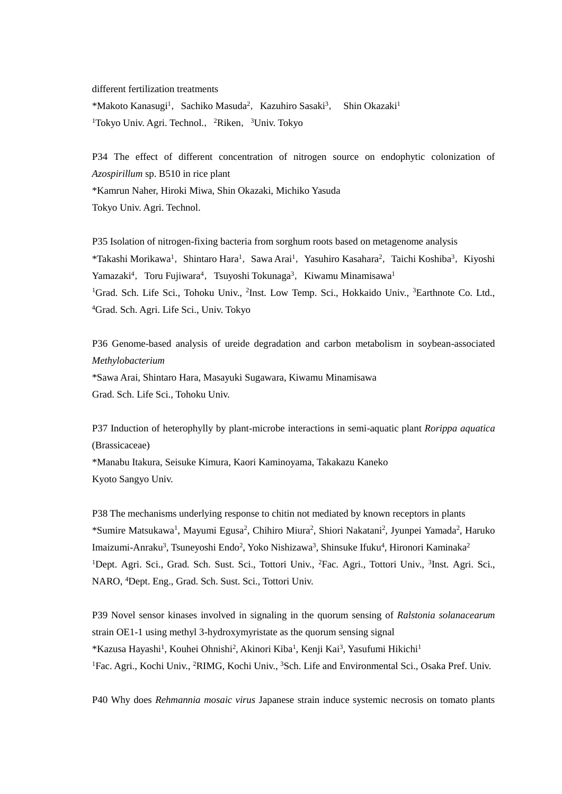different fertilization treatments

\*Makoto Kanasugi<sup>1</sup>, Sachiko Masuda<sup>2</sup>, Kazuhiro Sasaki<sup>3</sup>, Shin Okazaki<sup>1</sup> <sup>1</sup>Tokyo Univ. Agri. Technol., <sup>2</sup>Riken, <sup>3</sup>Univ. Tokyo

P34 The effect of different concentration of nitrogen source on endophytic colonization of *Azospirillum* sp. B510 in rice plant \*Kamrun Naher, Hiroki Miwa, Shin Okazaki, Michiko Yasuda Tokyo Univ. Agri. Technol.

P35 Isolation of nitrogen-fixing bacteria from sorghum roots based on metagenome analysis \*Takashi Morikawa<sup>1</sup>, Shintaro Hara<sup>1</sup>, Sawa Arai<sup>1</sup>, Yasuhiro Kasahara<sup>2</sup>, Taichi Koshiba<sup>3</sup>, Kiyoshi Yamazaki<sup>4</sup>, Toru Fujiwara<sup>4</sup>, Tsuyoshi Tokunaga<sup>3</sup>, Kiwamu Minamisawa<sup>1</sup> <sup>1</sup>Grad. Sch. Life Sci., Tohoku Univ., <sup>2</sup>Inst. Low Temp. Sci., Hokkaido Univ., <sup>3</sup>Earthnote Co. Ltd., <sup>4</sup>Grad. Sch. Agri. Life Sci., Univ. Tokyo

P36 Genome-based analysis of ureide degradation and carbon metabolism in soybean-associated *Methylobacterium* \*Sawa Arai, Shintaro Hara, Masayuki Sugawara, Kiwamu Minamisawa Grad. Sch. Life Sci., Tohoku Univ.

P37 Induction of heterophylly by plant-microbe interactions in semi-aquatic plant *Rorippa aquatica* (Brassicaceae)

\*Manabu Itakura, Seisuke Kimura, Kaori Kaminoyama, Takakazu Kaneko Kyoto Sangyo Univ.

P38 The mechanisms underlying response to chitin not mediated by known receptors in plants \*Sumire Matsukawa<sup>1</sup>, Mayumi Egusa<sup>2</sup>, Chihiro Miura<sup>2</sup>, Shiori Nakatani<sup>2</sup>, Jyunpei Yamada<sup>2</sup>, Haruko Imaizumi-Anraku<sup>3</sup>, Tsuneyoshi Endo<sup>2</sup>, Yoko Nishizawa<sup>3</sup>, Shinsuke Ifuku<sup>4</sup>, Hironori Kaminaka<sup>2</sup> <sup>1</sup>Dept. Agri. Sci., Grad. Sch. Sust. Sci., Tottori Univ., <sup>2</sup>Fac. Agri., Tottori Univ., <sup>3</sup>Inst. Agri. Sci., NARO, <sup>4</sup>Dept. Eng., Grad. Sch. Sust. Sci., Tottori Univ.

P39 Novel sensor kinases involved in signaling in the quorum sensing of *Ralstonia solanacearum* strain OE1-1 using methyl 3-hydroxymyristate as the quorum sensing signal \*Kazusa Hayashi<sup>1</sup>, Kouhei Ohnishi<sup>2</sup>, Akinori Kiba<sup>1</sup>, Kenji Kai<sup>3</sup>, Yasufumi Hikichi<sup>1</sup> <sup>1</sup>Fac. Agri., Kochi Univ., <sup>2</sup>RIMG, Kochi Univ., <sup>3</sup>Sch. Life and Environmental Sci., Osaka Pref. Univ.

P40 Why does *Rehmannia mosaic virus* Japanese strain induce systemic necrosis on tomato plants